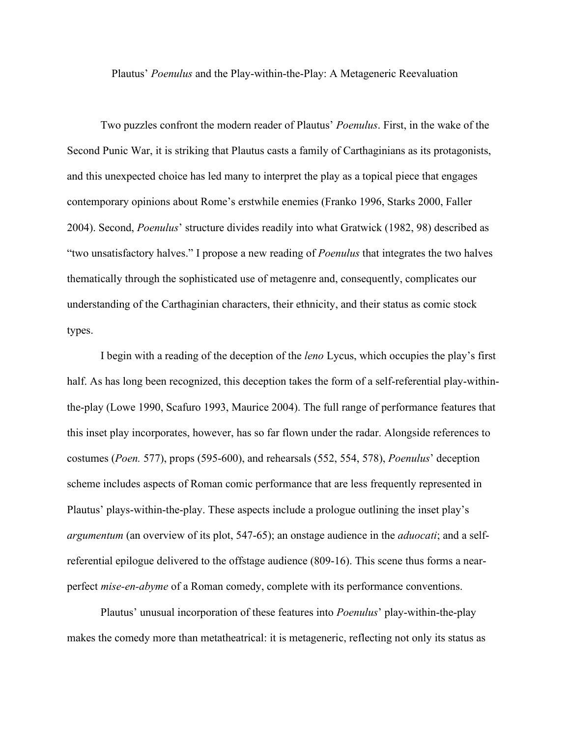Plautus' *Poenulus* and the Play-within-the-Play: A Metageneric Reevaluation

Two puzzles confront the modern reader of Plautus' *Poenulus*. First, in the wake of the Second Punic War, it is striking that Plautus casts a family of Carthaginians as its protagonists, and this unexpected choice has led many to interpret the play as a topical piece that engages contemporary opinions about Rome's erstwhile enemies (Franko 1996, Starks 2000, Faller 2004). Second, *Poenulus*' structure divides readily into what Gratwick (1982, 98) described as "two unsatisfactory halves." I propose a new reading of *Poenulus* that integrates the two halves thematically through the sophisticated use of metagenre and, consequently, complicates our understanding of the Carthaginian characters, their ethnicity, and their status as comic stock types.

I begin with a reading of the deception of the *leno* Lycus, which occupies the play's first half. As has long been recognized, this deception takes the form of a self-referential play-withinthe-play (Lowe 1990, Scafuro 1993, Maurice 2004). The full range of performance features that this inset play incorporates, however, has so far flown under the radar. Alongside references to costumes (*Poen.* 577), props (595-600), and rehearsals (552, 554, 578), *Poenulus*' deception scheme includes aspects of Roman comic performance that are less frequently represented in Plautus' plays-within-the-play. These aspects include a prologue outlining the inset play's *argumentum* (an overview of its plot, 547-65); an onstage audience in the *aduocati*; and a selfreferential epilogue delivered to the offstage audience (809-16). This scene thus forms a nearperfect *mise-en-abyme* of a Roman comedy, complete with its performance conventions.

Plautus' unusual incorporation of these features into *Poenulus*' play-within-the-play makes the comedy more than metatheatrical: it is metageneric, reflecting not only its status as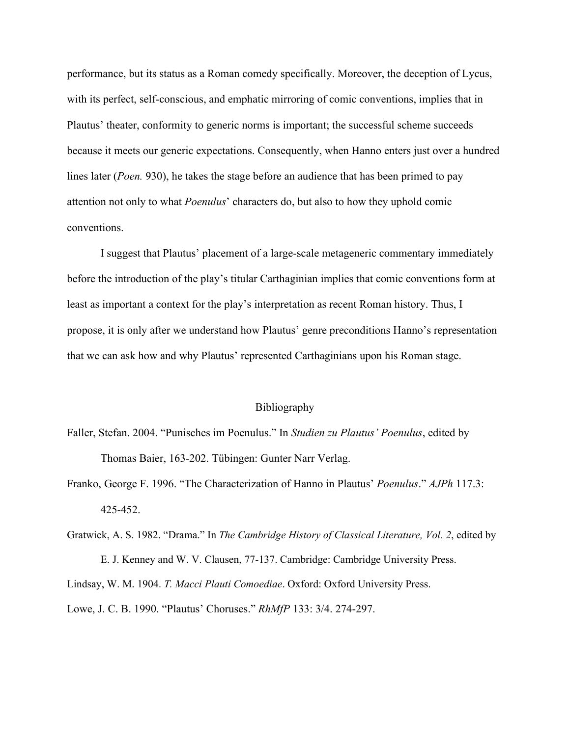performance, but its status as a Roman comedy specifically. Moreover, the deception of Lycus, with its perfect, self-conscious, and emphatic mirroring of comic conventions, implies that in Plautus' theater, conformity to generic norms is important; the successful scheme succeeds because it meets our generic expectations. Consequently, when Hanno enters just over a hundred lines later (*Poen.* 930), he takes the stage before an audience that has been primed to pay attention not only to what *Poenulus*' characters do, but also to how they uphold comic conventions.

I suggest that Plautus' placement of a large-scale metageneric commentary immediately before the introduction of the play's titular Carthaginian implies that comic conventions form at least as important a context for the play's interpretation as recent Roman history. Thus, I propose, it is only after we understand how Plautus' genre preconditions Hanno's representation that we can ask how and why Plautus' represented Carthaginians upon his Roman stage.

## Bibliography

- Faller, Stefan. 2004. "Punisches im Poenulus." In *Studien zu Plautus' Poenulus*, edited by Thomas Baier, 163-202. Tübingen: Gunter Narr Verlag.
- Franko, George F. 1996. "The Characterization of Hanno in Plautus' *Poenulus*." *AJPh* 117.3: 425-452.
- Gratwick, A. S. 1982. "Drama." In *The Cambridge History of Classical Literature, Vol. 2*, edited by E. J. Kenney and W. V. Clausen, 77-137. Cambridge: Cambridge University Press. Lindsay, W. M. 1904. *T. Macci Plauti Comoediae*. Oxford: Oxford University Press. Lowe, J. C. B. 1990. "Plautus' Choruses." *RhMfP* 133: 3/4. 274-297.